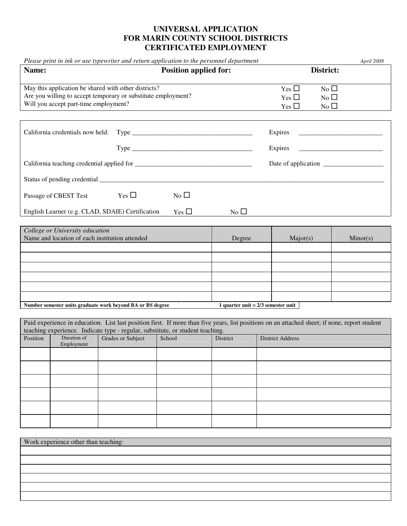## **UNIVERSAL APPLICATION FOR MARIN COUNTY SCHOOL DISTRICTS CERTIFICATED EMPLOYMENT**

|          |                                       | Please print in ink or use typewriter and return application to the personnel department                              |               |              |                                                                                                                                               | April 2008 |  |
|----------|---------------------------------------|-----------------------------------------------------------------------------------------------------------------------|---------------|--------------|-----------------------------------------------------------------------------------------------------------------------------------------------|------------|--|
| Name:    |                                       | <b>Position applied for:</b>                                                                                          |               |              | District:                                                                                                                                     |            |  |
|          | Will you accept part-time employment? | May this application be shared with other districts?<br>Are you willing to accept temporary or substitute employment? |               |              | $No$ $\square$<br>Yes $\square$<br>$No$ $\square$<br>Yes $\square$<br>Yes $\square$<br>No                                                     |            |  |
|          |                                       |                                                                                                                       |               |              |                                                                                                                                               |            |  |
|          |                                       |                                                                                                                       |               | Expires      |                                                                                                                                               |            |  |
|          |                                       |                                                                                                                       |               | Expires      |                                                                                                                                               |            |  |
|          |                                       |                                                                                                                       |               |              |                                                                                                                                               |            |  |
|          |                                       |                                                                                                                       |               |              |                                                                                                                                               |            |  |
|          | Passage of CBEST Test                 | $Yes \Box$                                                                                                            | No $\square$  |              |                                                                                                                                               |            |  |
|          |                                       | English Learner (e.g. CLAD, SDAIE) Certification                                                                      | Yes $\square$ | No $\square$ |                                                                                                                                               |            |  |
|          |                                       |                                                                                                                       |               |              |                                                                                                                                               |            |  |
|          | College or University education       | Name and location of each institution attended                                                                        |               | Degree       | Major(s)                                                                                                                                      | Minor(s)   |  |
|          |                                       |                                                                                                                       |               |              |                                                                                                                                               |            |  |
|          |                                       |                                                                                                                       |               |              |                                                                                                                                               |            |  |
|          |                                       |                                                                                                                       |               |              |                                                                                                                                               |            |  |
|          |                                       |                                                                                                                       |               |              |                                                                                                                                               |            |  |
|          |                                       |                                                                                                                       |               |              |                                                                                                                                               |            |  |
|          |                                       |                                                                                                                       |               |              |                                                                                                                                               |            |  |
|          |                                       | Number semester units graduate work beyond BA or BS degree                                                            |               |              | 1 quarter unit = $2/3$ semester unit                                                                                                          |            |  |
|          |                                       |                                                                                                                       |               |              | Paid experience in education. List last position first. If more than five years, list positions on an attached sheet; if none, report student |            |  |
|          |                                       | teaching experience. Indicate type - regular, substitute, or student teaching.                                        |               |              |                                                                                                                                               |            |  |
| Position | Duration of<br>Employment             | Grades or Subject                                                                                                     | School        | District     | <b>District Address</b>                                                                                                                       |            |  |
|          |                                       |                                                                                                                       |               |              |                                                                                                                                               |            |  |
|          |                                       |                                                                                                                       |               |              |                                                                                                                                               |            |  |
|          |                                       |                                                                                                                       |               |              |                                                                                                                                               |            |  |
|          |                                       |                                                                                                                       |               |              |                                                                                                                                               |            |  |
|          |                                       |                                                                                                                       |               |              |                                                                                                                                               |            |  |
|          |                                       |                                                                                                                       |               |              |                                                                                                                                               |            |  |
|          |                                       |                                                                                                                       |               |              |                                                                                                                                               |            |  |
|          | Work experience other than teaching:  |                                                                                                                       |               |              |                                                                                                                                               |            |  |
|          |                                       |                                                                                                                       |               |              |                                                                                                                                               |            |  |
|          |                                       |                                                                                                                       |               |              |                                                                                                                                               |            |  |
|          |                                       |                                                                                                                       |               |              |                                                                                                                                               |            |  |
|          |                                       |                                                                                                                       |               |              |                                                                                                                                               |            |  |
|          |                                       |                                                                                                                       |               |              |                                                                                                                                               |            |  |